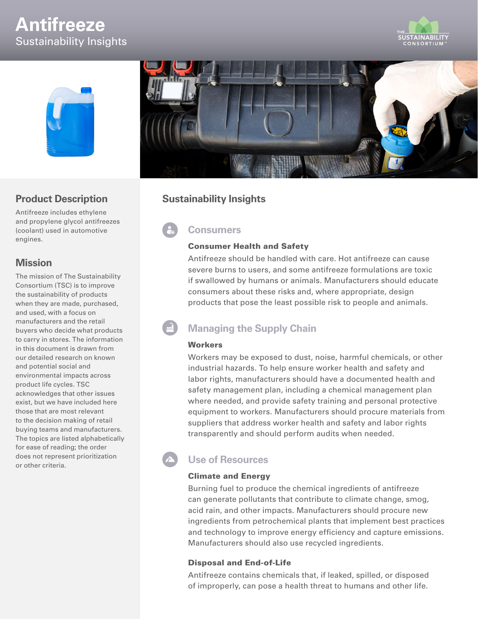# **Antifreeze** Sustainability Insights





### **Product Description**

Antifreeze includes ethylene and propylene glycol antifreezes (coolant) used in automotive engines.

### **Mission**

The mission of The Sustainability Consortium (TSC) is to improve the sustainability of products when they are made, purchased, and used, with a focus on manufacturers and the retail buyers who decide what products to carry in stores. The information in this document is drawn from our detailed research on known and potential social and environmental impacts across product life cycles. TSC acknowledges that other issues exist, but we have included here those that are most relevant to the decision making of retail buying teams and manufacturers. The topics are listed alphabetically for ease of reading; the order does not represent prioritization or other criteria.



### **Sustainability Insights**

**Consumers**

#### Consumer Health and Safety

Antifreeze should be handled with care. Hot antifreeze can cause severe burns to users, and some antifreeze formulations are toxic if swallowed by humans or animals. Manufacturers should educate consumers about these risks and, where appropriate, design products that pose the least possible risk to people and animals.

# **Managing the Supply Chain**

#### **Workers**

Workers may be exposed to dust, noise, harmful chemicals, or other industrial hazards. To help ensure worker health and safety and labor rights, manufacturers should have a documented health and safety management plan, including a chemical management plan where needed, and provide safety training and personal protective equipment to workers. Manufacturers should procure materials from suppliers that address worker health and safety and labor rights transparently and should perform audits when needed.

# **Use of Resources**

#### Climate and Energy

Burning fuel to produce the chemical ingredients of antifreeze can generate pollutants that contribute to climate change, smog, acid rain, and other impacts. Manufacturers should procure new ingredients from petrochemical plants that implement best practices and technology to improve energy efficiency and capture emissions. Manufacturers should also use recycled ingredients.

#### Disposal and End-of-Life

Antifreeze contains chemicals that, if leaked, spilled, or disposed of improperly, can pose a health threat to humans and other life.